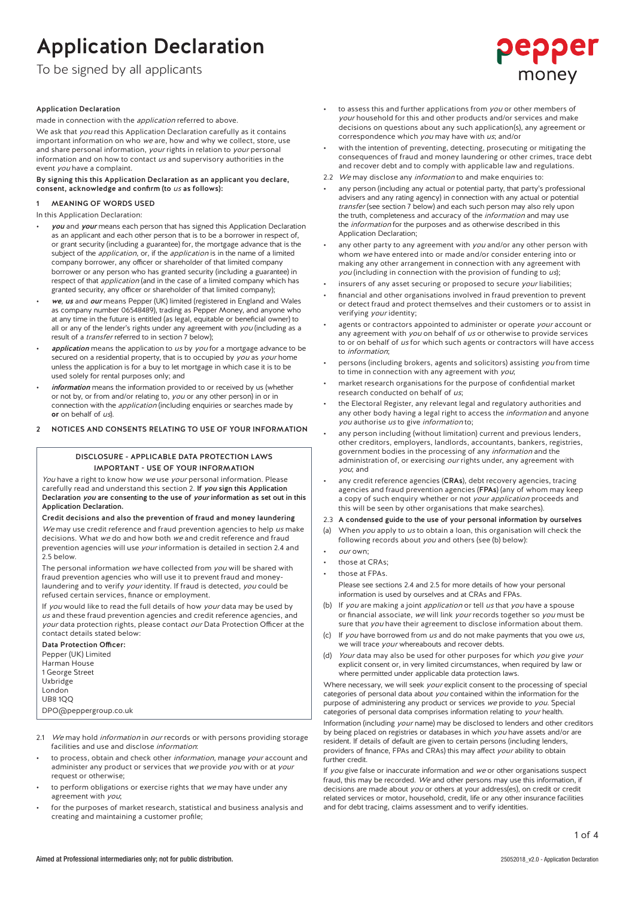To be signed by all applicants

# Application Declaration

made in connection with the application referred to above.

We ask that you read this Application Declaration carefully as it contains important information on who we are, how and why we collect, store, use and share personal information, *your* rights in relation to *your* personal information and on how to contact us and supervisory authorities in the event you have a complaint.

#### By signing this this Application Declaration as an applicant you declare, consent, acknowledge and confirm (to us as follows):

1 MEANING OF WORDS USED

In this Application Declaration:

- you and your means each person that has signed this Application Declaration as an applicant and each other person that is to be a borrower in respect of, or grant security (including a guarantee) for, the mortgage advance that is the subject of the *application*, or, if the *application* is in the name of a limited company borrower, any officer or shareholder of that limited company borrower or any person who has granted security (including a guarantee) in respect of that *application* (and in the case of a limited company which has granted security, any officer or shareholder of that limited company);
- we, us and our means Pepper (UK) limited (registered in England and Wales as company number 06548489), trading as Pepper Money, and anyone who at any time in the future is entitled (as legal, equitable or beneficial owner) to all or any of the lender's rights under any agreement with  $you$  (including as a result of a transfer referred to in section 7 below);
- application means the application to us by you for a mortgage advance to be secured on a residential property, that is to occupied by you as your home unless the application is for a buy to let mortgage in which case it is to be used solely for rental purposes only; and
- information means the information provided to or received by us (whether or not by, or from and/or relating to, you or any other person) in or in connection with the application (including enquiries or searches made by **or** on behalf of us).
- 2 NOTICES AND CONSENTS RELATING TO USE OF YOUR INFORMATION

# DISCLOSURE - APPLICABLE DATA PROTECTION LAWS IMPORTANT - USE OF YOUR INFORMATION

You have a right to know how we use your personal information. Please carefully read and understand this section 2. If you sign this Application Declaration you are consenting to the use of your information as set out in this Application Declaration.

# Credit decisions and also the prevention of fraud and money laundering We may use credit reference and fraud prevention agencies to help us make decisions. What we do and how both we and credit reference and fraud prevention agencies will use *your* information is detailed in section 2.4 and 2.5 below.

The personal information we have collected from you will be shared with fraud prevention agencies who will use it to prevent fraud and moneylaundering and to verify your identity. If fraud is detected, you could be refused certain services, finance or employment.

If you would like to read the full details of how your data may be used by us and these fraud prevention agencies and credit reference agencies, and your data protection rights, please contact our Data Protection Officer at the contact details stated below:

Data Protection Officer:

Pepper (UK) Limited Harman House 1 George Street Uxbridge London

UB8 1QQ

DPO@peppergroup.co.uk

- 2.1 We may hold information in our records or with persons providing storage facilities and use and disclose information:
- to process, obtain and check other *information*, manage your account and administer any product or services that we provide you with or at your request or otherwise;
- to perform obligations or exercise rights that we may have under any agreement with you;
- for the purposes of market research, statistical and business analysis and creating and maintaining a customer profile;

to assess this and further applications from you or other members of your household for this and other products and/or services and make decisions on questions about any such application(s), any agreement or correspondence which you may have with us; and/or

pepper

money

- with the intention of preventing, detecting, prosecuting or mitigating the consequences of fraud and money laundering or other crimes, trace debt and recover debt and to comply with applicable law and regulations.
- 2.2 We may disclose any *information* to and make enquiries to:
- any person (including any actual or potential party, that party's professional advisers and any rating agency) in connection with any actual or potential transfer (see section 7 below) and each such person may also rely upon the truth, completeness and accuracy of the *information* and may use the information for the purposes and as otherwise described in this Application Declaration;
- any other party to any agreement with you and/or any other person with whom we have entered into or made and/or consider entering into or making any other arrangement in connection with any agreement with  $you$  (including in connection with the provision of funding to  $us$ );
- insurers of any asset securing or proposed to secure your liabilities;
- financial and other organisations involved in fraud prevention to prevent or detect fraud and protect themselves and their customers or to assist in verifying your identity;
- agents or contractors appointed to administer or operate your account or any agreement with you on behalf of us or otherwise to provide services to or on behalf of us for which such agents or contractors will have access to information;
- persons (including brokers, agents and solicitors) assisting you from time to time in connection with any agreement with you;
- market research organisations for the purpose of confidential market research conducted on behalf of us;
- the Electoral Register, any relevant legal and regulatory authorities and any other body having a legal right to access the *information* and anyone you authorise us to give information to;
- any person including (without limitation) current and previous lenders, other creditors, employers, landlords, accountants, bankers, registries, government bodies in the processing of any information and the administration of, or exercising our rights under, any agreement with you; and
- any credit reference agencies (CRAs), debt recovery agencies, tracing agencies and fraud prevention agencies (FPAs) (any of whom may keep a copy of such enquiry whether or not your application proceeds and this will be seen by other organisations that make searches).
- 2.3 A condensed guide to the use of your personal information by ourselves
- (a) When you apply to us to obtain a loan, this organisation will check the following records about you and others (see (b) below):
- our own:
- those at CRAs:
- those at FPAs.

Please see sections 2.4 and 2.5 for more details of how your personal information is used by ourselves and at CRAs and FPAs.

- (b) If you are making a joint application or tell us that you have a spouse or financial associate, we will link your records together so you must be sure that you have their agreement to disclose information about them.
- (c) If you have borrowed from  $us$  and do not make payments that you owe  $us$ , we will trace *your* whereabouts and recover debts.
- (d) Your data may also be used for other purposes for which you give your explicit consent or, in very limited circumstances, when required by law or where permitted under applicable data protection laws.

Where necessary, we will seek your explicit consent to the processing of special categories of personal data about you contained within the information for the purpose of administering any product or services we provide to you. Special categories of personal data comprises information relating to your health.

Information (including your name) may be disclosed to lenders and other creditors by being placed on registries or databases in which you have assets and/or are resident. If details of default are given to certain persons (including lenders, providers of finance, FPAs and CRAs) this may affect your ability to obtain further credit.

If you give false or inaccurate information and we or other organisations suspect fraud, this may be recorded. We and other persons may use this information, if decisions are made about you or others at your address(es), on credit or credit related services or motor, household, credit, life or any other insurance facilities and for debt tracing, claims assessment and to verify identities.

1 of 4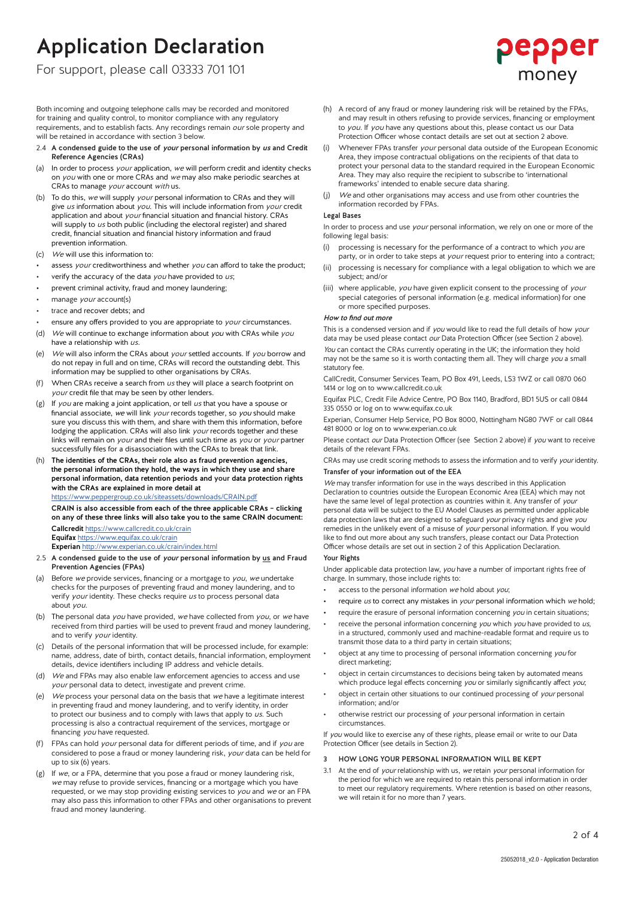For support, please call 03333 701 101

Both incoming and outgoing telephone calls may be recorded and monitored for training and quality control, to monitor compliance with any regulatory requirements, and to establish facts. Any recordings remain our sole property and will be retained in accordance with section 3 below.

- 2.4 A condensed guide to the use of your personal information by us and Credit Reference Agencies (CRAs)
- (a) In order to process *your* application, we will perform credit and identity checks on you with one or more CRAs and we may also make periodic searches at CRAs to manage your account with us.
- To do this, we will supply your personal information to CRAs and they will give us information about you. This will include information from your credit application and about your financial situation and financial history. CRAs will supply to us both public (including the electoral register) and shared credit, financial situation and financial history information and fraud prevention information.
- (c) We will use this information to:
- assess your creditworthiness and whether you can afford to take the product;
- verify the accuracy of the data  $you$  have provided to  $us$ ;
- prevent criminal activity, fraud and money laundering;
- manage *your* account(s)
- trace and recover debts; and
- ensure any offers provided to you are appropriate to your circumstances.
- (d) We will continue to exchange information about you with CRAs while you have a relationship with us.
- (e) We will also inform the CRAs about your settled accounts. If you borrow and do not repay in full and on time, CRAs will record the outstanding debt. This information may be supplied to other organisations by CRAs.
- (f) When CRAs receive a search from  $us$  they will place a search footprint on your credit file that may be seen by other lenders.
- $(g)$  If you are making a joint application, or tell us that you have a spouse or financial associate, we will link your records together, so you should make sure you discuss this with them, and share with them this information, before lodging the application. CRAs will also link your records together and these links will remain on your and their files until such time as you or your partner successfully files for a disassociation with the CRAs to break that link.
- The identities of the CRAs, their role also as fraud prevention agencies, the personal information they hold, the ways in which they use and share personal information, data retention periods and your data protection rights with the CRAs are explained in more detail at https://www.peppergroup.co.uk/siteassets/downloads/CRAIN.pdf

CRAIN is also accessible from each of the three applicable CRAs – clicking on any of these three links will also take you to the same CRAIN document: Callcredit https://www.callcredit.co.uk/crain Equifax https://www.equifax.co.uk/crain

Experian http://www.experian.co.uk/crain/index.html

- 2.5 A condensed guide to the use of your personal information by us and Fraud Prevention Agencies (FPAs)
- (a) Before we provide services, financing or a mortgage to  $you$ , we undertake checks for the purposes of preventing fraud and money laundering, and to verify your identity. These checks require us to process personal data about you.
- (b) The personal data you have provided, we have collected from you, or we have received from third parties will be used to prevent fraud and money laundering, and to verify *your* identity.
- (c) Details of the personal information that will be processed include, for example: name, address, date of birth, contact details, financial information, employment details, device identifiers including IP address and vehicle details.
- We and FPAs may also enable law enforcement agencies to access and use your personal data to detect, investigate and prevent crime.
- (e) We process your personal data on the basis that we have a legitimate interest in preventing fraud and money laundering, and to verify identity, in order to protect our business and to comply with laws that apply to us. Such processing is also a contractual requirement of the services, mortgage or financing you have requested.
- (f) FPAs can hold your personal data for different periods of time, and if you are considered to pose a fraud or money laundering risk, your data can be held for up to six (6) years.
- (g) If we, or a FPA, determine that you pose a fraud or money laundering risk, we may refuse to provide services, financing or a mortgage which you have requested, or we may stop providing existing services to  $you$  and  $we$  or an FPA may also pass this information to other FPAs and other organisations to prevent fraud and money laundering.
- (h) A record of any fraud or money laundering risk will be retained by the FPAs, and may result in others refusing to provide services, financing or employment to you. If you have any questions about this, please contact us our Data Protection Officer whose contact details are set out at section 2 above.
- (i) Whenever FPAs transfer your personal data outside of the European Economic Area, they impose contractual obligations on the recipients of that data to protect your personal data to the standard required in the European Economic Area. They may also require the recipient to subscribe to 'international frameworks' intended to enable secure data sharing.
- (j) We and other organisations may access and use from other countries the information recorded by FPAs.

# Legal Bases

In order to process and use your personal information, we rely on one or more of the following legal basis:

- processing is necessary for the performance of a contract to which you are party, or in order to take steps at your request prior to entering into a contract;
- (ii) processing is necessary for compliance with a legal obligation to which we are subject; and/or
- (iii) where applicable, you have given explicit consent to the processing of your special categories of personal information (e.g. medical information) for one or more specified purposes.

# How to find out more

This is a condensed version and if you would like to read the full details of how your data may be used please contact our Data Protection Officer (see Section 2 above). You can contact the CRAs currently operating in the UK; the information they hold may not be the same so it is worth contacting them all. They will charge you a small statutory fee.

CallCredit, Consumer Services Team, PO Box 491, Leeds, LS3 1WZ or call 0870 060 1414 or log on to www.callcredit.co.uk

Equifax PLC, Credit File Advice Centre, PO Box 1140, Bradford, BD1 5US or call 0844 335 0550 or log on to www.equifax.co.uk

Experian, Consumer Help Service, PO Box 8000, Nottingham NG80 7WF or call 0844 481 8000 or log on to www.experian.co.uk

Please contact our Data Protection Officer (see Section 2 above) if you want to receive details of the relevant FPAs.

CRAs may use credit scoring methods to assess the information and to verify your identity. Transfer of your information out of the EEA

We may transfer information for use in the ways described in this Application Declaration to countries outside the European Economic Area (EEA) which may not have the same level of legal protection as countries within it. Any transfer of your personal data will be subject to the EU Model Clauses as permitted under applicable data protection laws that are designed to safeguard your privacy rights and give you remedies in the unlikely event of a misuse of your personal information. If you would like to find out more about any such transfers, please contact our Data Protection Officer whose details are set out in section 2 of this Application Declaration.

# Your Rights

Under applicable data protection law, you have a number of important rights free of charge. In summary, those include rights to:

- access to the personal information we hold about you;
- require us to correct any mistakes in your personal information which we hold;
- require the erasure of personal information concerning  $you$  in certain situations;
- receive the personal information concerning you which you have provided to us, in a structured, commonly used and machine-readable format and require us to transmit those data to a third party in certain situations;
- object at any time to processing of personal information concerning you for direct marketing;
- object in certain circumstances to decisions being taken by automated means which produce legal effects concerning you or similarly significantly affect you;
- object in certain other situations to our continued processing of your personal information; and/or
- otherwise restrict our processing of your personal information in certain circumstances.

If you would like to exercise any of these rights, please email or write to our Data Protection Officer (see details in Section 2).

# 3 HOW LONG YOUR PERSONAL INFORMATION WILL BE KEPT

3.1 At the end of your relationship with us, we retain your personal information for the period for which we are required to retain this personal information in order to meet our regulatory requirements. Where retention is based on other reasons, we will retain it for no more than 7 years.

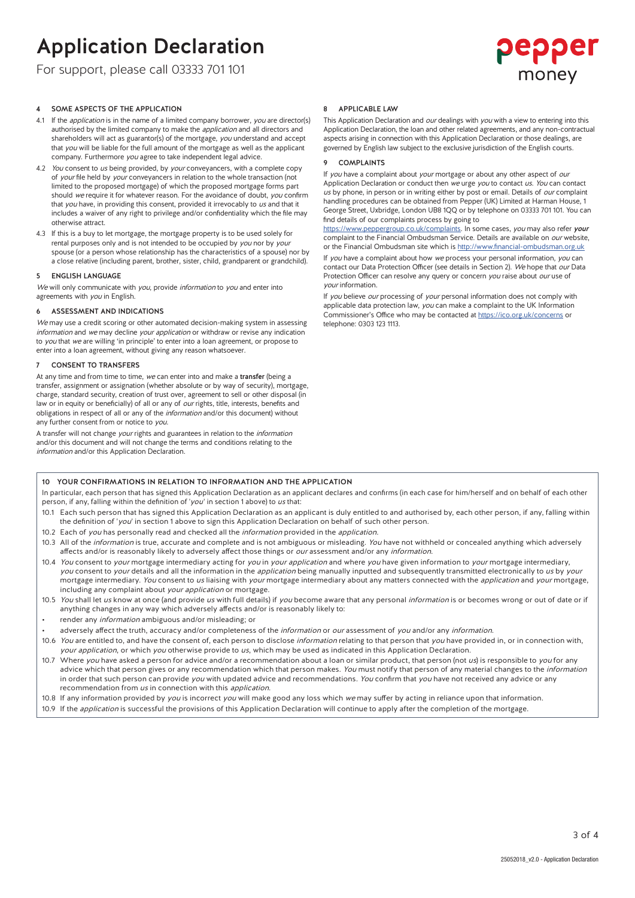For support, please call 03333 701 101



# 4 SOME ASPECTS OF THE APPLICATION

- 4.1 If the *application* is in the name of a limited company borrower, *you* are director(s) authorised by the limited company to make the application and all directors and shareholders will act as guarantor(s) of the mortgage, you understand and accept that you will be liable for the full amount of the mortgage as well as the applicant company. Furthermore you agree to take independent legal advice.
- 4.2 You consent to us being provided, by your conveyancers, with a complete copy of *your* file held by *your* conveyancers in relation to the whole transaction (not limited to the proposed mortgage) of which the proposed mortgage forms part should we require it for whatever reason. For the avoidance of doubt, you confirm that you have, in providing this consent, provided it irrevocably to us and that it includes a waiver of any right to privilege and/or confidentiality which the file may otherwise attract.
- 4.3 If this is a buy to let mortgage, the mortgage property is to be used solely for rental purposes only and is not intended to be occupied by you nor by your spouse (or a person whose relationship has the characteristics of a spouse) nor by a close relative (including parent, brother, sister, child, grandparent or grandchild).

#### 5 ENGLISH LANGUAGE

We will only communicate with you, provide *information* to you and enter into agreements with you in English.

### 6 ASSESSMENT AND INDICATIONS

We may use a credit scoring or other automated decision-making system in assessing information and we may decline your application or withdraw or revise any indication to you that we are willing 'in principle' to enter into a loan agreement, or propose to enter into a loan agreement, without giving any reason whatsoever.

#### **CONSENT TO TRANSFERS**

At any time and from time to time, we can enter into and make a transfer (being a transfer, assignment or assignation (whether absolute or by way of security), mortgage, charge, standard security, creation of trust over, agreement to sell or other disposal (in law or in equity or beneficially) of all or any of *our* rights, title, interests, benefits and obligations in respect of all or any of the information and/or this document) without any further consent from or notice to you.

A transfer will not change your rights and guarantees in relation to the information and/or this document and will not change the terms and conditions relating to the information and/or this Application Declaration.

# 8 APPLICABLE LAW

This Application Declaration and *our* dealings with *you* with a view to entering into this Application Declaration, the loan and other related agreements, and any non-contractual aspects arising in connection with this Application Declaration or those dealings, are governed by English law subject to the exclusive jurisdiction of the English courts.

## 9 COMPLAINTS

If you have a complaint about your mortgage or about any other aspect of our Application Declaration or conduct then we urge you to contact us. You can contact us by phone, in person or in writing either by post or email. Details of *our* complaint handling procedures can be obtained from Pepper (UK) Limited at Harman House, 1 George Street, Uxbridge, London UB8 1QQ or by telephone on 03333 701 101. You can find details of our complaints process by going to

https://www.peppergroup.co.uk/complaints. In some cases, you may also refer your complaint to the Financial Ombudsman Service. Details are available on our website, or the Financial Ombudsman site which is http://www.financial-ombudsman.org.uk If you have a complaint about how we process your personal information, you can contact our Data Protection Officer (see details in Section 2). We hope that our Data

Protection Officer can resolve any query or concern you raise about our use of your information. If you believe our processing of your personal information does not comply with

applicable data protection law, you can make a complaint to the UK Information Commissioner's Office who may be contacted at https://ico.org.uk/concerns or telephone: 0303 123 1113.

# 10 YOUR CONFIRMATIONS IN RELATION TO INFORMATION AND THE APPLICATION

In particular, each person that has signed this Application Declaration as an applicant declares and confirms (in each case for him/herself and on behalf of each other person, if any, falling within the definition of 'you' in section 1 above) to us that:

- 10.1 Each such person that has signed this Application Declaration as an applicant is duly entitled to and authorised by, each other person, if any, falling within the definition of 'you' in section 1 above to sign this Application Declaration on behalf of such other person.
- 10.2 Each of you has personally read and checked all the information provided in the application.
- 10.3 All of the information is true, accurate and complete and is not ambiguous or misleading. You have not withheld or concealed anything which adversely affects and/or is reasonably likely to adversely affect those things or our assessment and/or any information.
- 10.4 You consent to your mortgage intermediary acting for you in your application and where you have given information to your mortgage intermediary, you consent to your details and all the information in the application being manually inputted and subsequently transmitted electronically to us by your mortgage intermediary. You consent to us liaising with your mortgage intermediary about any matters connected with the application and your mortgage, including any complaint about your application or mortgage.
- 10.5 You shall let us know at once (and provide us with full details) if you become aware that any personal information is or becomes wrong or out of date or if anything changes in any way which adversely affects and/or is reasonably likely to:
- render any *information* ambiguous and/or misleading; or
- adversely affect the truth, accuracy and/or completeness of the information or our assessment of you and/or any information.
- 10.6 You are entitled to, and have the consent of, each person to disclose information relating to that person that you have provided in, or in connection with, your application, or which you otherwise provide to us, which may be used as indicated in this Application Declaration.
- 10.7 Where you have asked a person for advice and/or a recommendation about a loan or similar product, that person (not us) is responsible to you for any advice which that person gives or any recommendation which that person makes. You must notify that person of any material changes to the information in order that such person can provide you with updated advice and recommendations. You confirm that you have not received any advice or any recommendation from us in connection with this application.
- 10.8 If any information provided by you is incorrect you will make good any loss which we may suffer by acting in reliance upon that information.
- 10.9 If the *application* is successful the provisions of this Application Declaration will continue to apply after the completion of the mortgage.